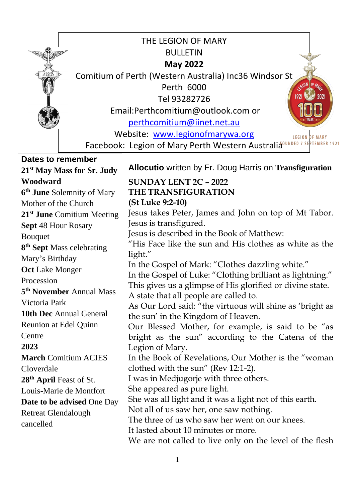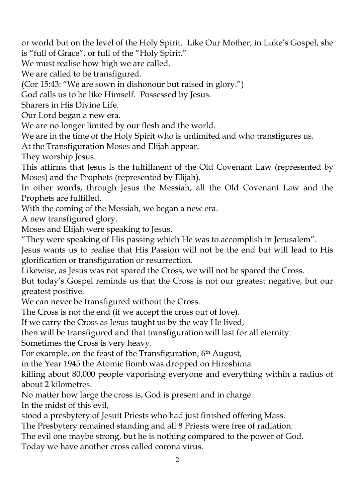or world but on the level of the Holy Spirit. Like Our Mother, in Luke's Gospel, she is "full of Grace", or full of the "Holy Spirit."

We must realise how high we are called.

We are called to be transfigured.

(Cor 15:43: "We are sown in dishonour but raised in glory.")

God calls us to be like Himself. Possessed by Jesus.

Sharers in His Divine Life.

Our Lord began a new era.

We are no longer limited by our flesh and the world.

We are in the time of the Holy Spirit who is unlimited and who transfigures us.

At the Transfiguration Moses and Elijah appear.

They worship Jesus.

This affirms that Jesus is the fulfillment of the Old Covenant Law (represented by Moses) and the Prophets (represented by Elijah).

In other words, through Jesus the Messiah, all the Old Covenant Law and the Prophets are fulfilled.

With the coming of the Messiah, we began a new era.

A new transfigured glory.

Moses and Elijah were speaking to Jesus.

"They were speaking of His passing which He was to accomplish in Jerusalem".

Jesus wants us to realise that His Passion will not be the end but will lead to His glorification or transfiguration or resurrection.

Likewise, as Jesus was not spared the Cross, we will not be spared the Cross.

But today's Gospel reminds us that the Cross is not our greatest negative, but our greatest positive.

We can never be transfigured without the Cross.

The Cross is not the end (if we accept the cross out of love).

If we carry the Cross as Jesus taught us by the way He lived,

then will be transfigured and that transfiguration will last for all eternity.

Sometimes the Cross is very heavy.

For example, on the feast of the Transfiguration, 6<sup>th</sup> August,

in the Year 1945 the Atomic Bomb was dropped on Hiroshima

killing about 80,000 people vaporising everyone and everything within a radius of about 2 kilometres.

No matter how large the cross is, God is present and in charge. In the midst of this evil,

stood a presbytery of Jesuit Priests who had just finished offering Mass.

The Presbytery remained standing and all 8 Priests were free of radiation.

The evil one maybe strong, but he is nothing compared to the power of God.

Today we have another cross called corona virus.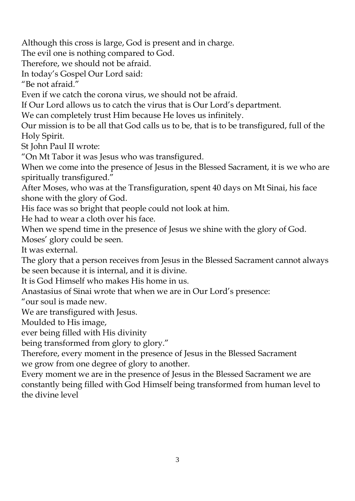Although this cross is large, God is present and in charge.

The evil one is nothing compared to God.

Therefore, we should not be afraid.

In today's Gospel Our Lord said:

"Be not afraid."

Even if we catch the corona virus, we should not be afraid.

If Our Lord allows us to catch the virus that is Our Lord's department.

We can completely trust Him because He loves us infinitely.

Our mission is to be all that God calls us to be, that is to be transfigured, full of the Holy Spirit.

St John Paul II wrote:

"On Mt Tabor it was Jesus who was transfigured.

When we come into the presence of Jesus in the Blessed Sacrament, it is we who are spiritually transfigured."

After Moses, who was at the Transfiguration, spent 40 days on Mt Sinai, his face shone with the glory of God.

His face was so bright that people could not look at him.

He had to wear a cloth over his face.

When we spend time in the presence of Jesus we shine with the glory of God.

Moses' glory could be seen.

It was external.

The glory that a person receives from Jesus in the Blessed Sacrament cannot always be seen because it is internal, and it is divine.

It is God Himself who makes His home in us.

Anastasius of Sinai wrote that when we are in Our Lord's presence:

"our soul is made new.

We are transfigured with Jesus.

Moulded to His image,

ever being filled with His divinity

being transformed from glory to glory."

Therefore, every moment in the presence of Jesus in the Blessed Sacrament we grow from one degree of glory to another.

Every moment we are in the presence of Jesus in the Blessed Sacrament we are constantly being filled with God Himself being transformed from human level to the divine level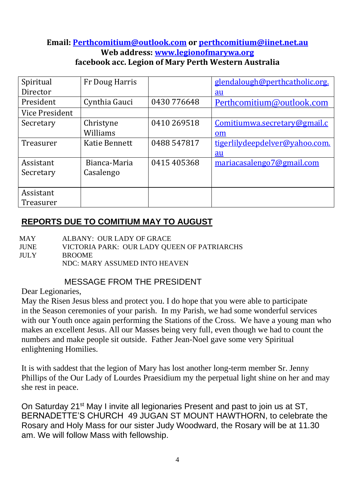#### **Email: [Perthcomitium@outlook.com](mailto:Perthcomitium@outlook.com) or [perthcomitium@iinet.net.au](mailto:perthcomitium@iinet.net.au) Web address: [www.legionofmarywa.org](http://www.legionofmarywa.org/) facebook acc. Legion of Mary Perth Western Australia**

| Spiritual      | Fr Doug Harris       |             | glendalough@perthcatholic.org. |
|----------------|----------------------|-------------|--------------------------------|
| Director       |                      |             | $au$                           |
| President      | Cynthia Gauci        | 0430 776648 | Perthcomitium@outlook.com      |
| Vice President |                      |             |                                |
| Secretary      | Christyne            | 0410 269518 | Comitiumwa.secretary@gmail.c   |
|                | Williams             |             | om                             |
| Treasurer      | <b>Katie Bennett</b> | 0488 547817 | tigerlilydeepdelver@yahoo.com. |
|                |                      |             | au                             |
| Assistant      | Bianca-Maria         | 0415 405368 | mariacasalengo7@gmail.com      |
| Secretary      | Casalengo            |             |                                |
|                |                      |             |                                |
| Assistant      |                      |             |                                |
| Treasurer      |                      |             |                                |

## **REPORTS DUE TO COMITIUM MAY TO AUGUST**

MAY ALBANY: OUR LADY OF GRACE

JUNE VICTORIA PARK: OUR LADY QUEEN OF PATRIARCHS JULY BROOME NDC: MARY ASSUMED INTO HEAVEN

## MESSAGE FROM THE PRESIDENT

Dear Legionaries,

May the Risen Jesus bless and protect you. I do hope that you were able to participate in the Season ceremonies of your parish. In my Parish, we had some wonderful services with our Youth once again performing the Stations of the Cross. We have a young man who makes an excellent Jesus. All our Masses being very full, even though we had to count the numbers and make people sit outside. Father Jean-Noel gave some very Spiritual enlightening Homilies.

It is with saddest that the legion of Mary has lost another long-term member Sr. Jenny Phillips of the Our Lady of Lourdes Praesidium my the perpetual light shine on her and may she rest in peace.

On Saturday 21<sup>st</sup> May I invite all legionaries Present and past to join us at ST. BERNADETTE'S CHURCH 49 JUGAN ST MOUNT HAWTHORN, to celebrate the Rosary and Holy Mass for our sister Judy Woodward, the Rosary will be at 11.30 am. We will follow Mass with fellowship.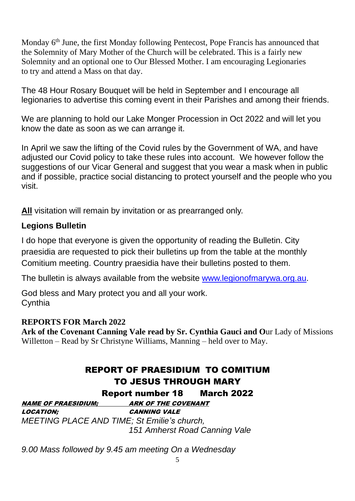Monday 6<sup>th</sup> June, the first Monday following Pentecost, Pope Francis has announced that the Solemnity of Mary Mother of the Church will be celebrated. This is a fairly new Solemnity and an optional one to Our Blessed Mother. I am encouraging Legionaries to try and attend a Mass on that day.

The 48 Hour Rosary Bouquet will be held in September and I encourage all legionaries to advertise this coming event in their Parishes and among their friends.

We are planning to hold our Lake Monger Procession in Oct 2022 and will let you know the date as soon as we can arrange it.

In April we saw the lifting of the Covid rules by the Government of WA, and have adjusted our Covid policy to take these rules into account. We however follow the suggestions of our Vicar General and suggest that you wear a mask when in public and if possible, practice social distancing to protect yourself and the people who you visit.

**All** visitation will remain by invitation or as prearranged only.

## **Legions Bulletin**

I do hope that everyone is given the opportunity of reading the Bulletin. City praesidia are requested to pick their bulletins up from the table at the monthly Comitium meeting. Country praesidia have their bulletins posted to them.

The bulletin is always available from the website [www.legionofmarywa.org.au.](http://www.legionofmarywa.org.au/)

God bless and Mary protect you and all your work. **Cynthia** 

#### **REPORTS FOR March 2022**

**Ark of the Covenant Canning Vale read by Sr. Cynthia Gauci and O**ur Lady of Missions Willetton – Read by Sr Christyne Williams, Manning – held over to May.

# REPORT OF PRAESIDIUM TO COMITIUM TO JESUS THROUGH MARY

Report number 18 March 2022

NAME OF PRAESIDIUM; ARK OF THE COVENANT LOCATION; CANNING VALE *MEETING PLACE AND TIME; St Emilie's church, 151 Amherst Road Canning Vale*

*9.00 Mass followed by 9.45 am meeting On a Wednesday*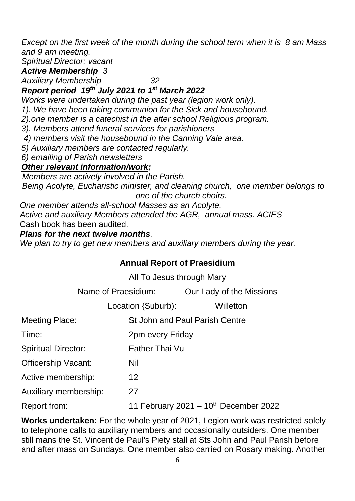*Except on the first week of the month during the school term when it is 8 am Mass and 9 am meeting.*

*Spiritual Director; vacant*

*Active Membership 3* 

*Auxiliary Membership 32*

## *Report period 19th July 2021 to 1st March 2022*

*Works were undertaken during the past year (legion work only).* 

*1). We have been taking communion for the Sick and housebound.*

*2).one member is a catechist in the after school Religious program.* 

*3). Members attend funeral services for parishioners*

*4) members visit the housebound in the Canning Vale area.*

*5) Auxiliary members are contacted regularly.*

*6) emailing of Parish newsletters*

## *Other relevant information/work;*

 *Members are actively involved in the Parish. Being Acolyte, Eucharistic minister, and cleaning church, one member belongs to one of the church choirs.*

 *One member attends all-school Masses as an Acolyte. Active and auxiliary Members attended the AGR, annual mass. ACIES* Cash book has been audited.

### *Plans for the next twelve months.*

 *We plan to try to get new members and auxiliary members during the year.* 

## **Annual Report of Praesidium**

All To Jesus through Mary

Name of Praesidium: Our Lady of the Missions

Location {Suburb): Willetton

|                              | LUCQUUII SOUDUIDJ.             | <u>VVIIIGIIUI I</u>                        |
|------------------------------|--------------------------------|--------------------------------------------|
| <b>Meeting Place:</b>        | St John and Paul Parish Centre |                                            |
| Time:                        | 2pm every Friday               |                                            |
| <b>Spiritual Director:</b>   | <b>Father Thai Vu</b>          |                                            |
| Officership Vacant:          | Nil                            |                                            |
| Active membership:           | 12                             |                                            |
| <b>Auxiliary membership:</b> | 27                             |                                            |
| Report from:                 |                                | 11 February 2021 - $10^{th}$ December 2022 |

**Works undertaken:** For the whole year of 2021, Legion work was restricted solely to telephone calls to auxiliary members and occasionally outsiders. One member still mans the St. Vincent de Paul's Piety stall at Sts John and Paul Parish before and after mass on Sundays. One member also carried on Rosary making. Another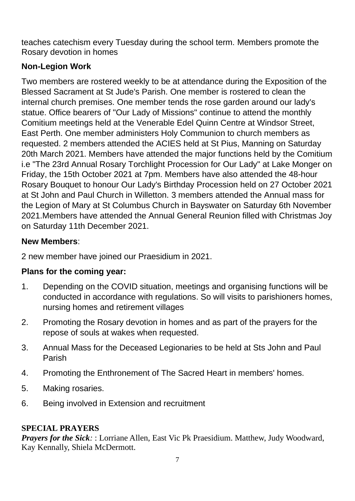teaches catechism every Tuesday during the school term. Members promote the Rosary devotion in homes

## **Non-Legion Work**

Two members are rostered weekly to be at attendance during the Exposition of the Blessed Sacrament at St Jude's Parish. One member is rostered to clean the internal church premises. One member tends the rose garden around our lady's statue. Office bearers of "Our Lady of Missions" continue to attend the monthly Comitium meetings held at the Venerable Edel Quinn Centre at Windsor Street, East Perth. One member administers Holy Communion to church members as requested. 2 members attended the ACIES held at St Pius, Manning on Saturday 20th March 2021. Members have attended the major functions held by the Comitium i.e "The 23rd Annual Rosary Torchlight Procession for Our Lady" at Lake Monger on Friday, the 15th October 2021 at 7pm. Members have also attended the 48-hour Rosary Bouquet to honour Our Lady's Birthday Procession held on 27 October 2021 at St John and Paul Church in Willetton. 3 members attended the Annual mass for the Legion of Mary at St Columbus Church in Bayswater on Saturday 6th November 2021.Members have attended the Annual General Reunion filled with Christmas Joy on Saturday 11th December 2021.

## **New Members**:

2 new member have joined our Praesidium in 2021.

## **Plans for the coming year:**

- 1. Depending on the COVID situation, meetings and organising functions will be conducted in accordance with regulations. So will visits to parishioners homes, nursing homes and retirement villages
- 2. Promoting the Rosary devotion in homes and as part of the prayers for the repose of souls at wakes when requested.
- 3. Annual Mass for the Deceased Legionaries to be held at Sts John and Paul Parish
- 4. Promoting the Enthronement of The Sacred Heart in members' homes.
- 5. Making rosaries.
- 6. Being involved in Extension and recruitment

## **SPECIAL PRAYERS**

*Prayers for the Sick*:: Lorriane Allen, East Vic Pk Praesidium. Matthew, Judy Woodward, Kay Kennally, Shiela McDermott.